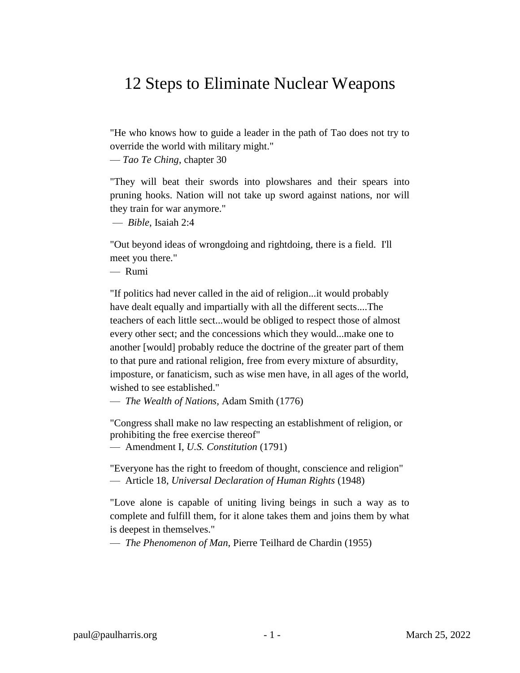## 12 Steps to Eliminate Nuclear Weapons

"He who knows how to guide a leader in the path of Tao does not try to override the world with military might."

— *Tao Te Ching*, chapter 30

"They will beat their swords into plowshares and their spears into pruning hooks. Nation will not take up sword against nations, nor will they train for war anymore."

— *Bible*, Isaiah 2:4

"Out beyond ideas of wrongdoing and rightdoing, there is a field. I'll meet you there."

— Rumi

"If politics had never called in the aid of religion...it would probably have dealt equally and impartially with all the different sects....The teachers of each little sect...would be obliged to respect those of almost every other sect; and the concessions which they would...make one to another [would] probably reduce the doctrine of the greater part of them to that pure and rational religion, free from every mixture of absurdity, imposture, or fanaticism, such as wise men have, in all ages of the world, wished to see established."

— *The Wealth of Nations,* Adam Smith (1776)

"Congress shall make no law respecting an establishment of religion, or prohibiting the free exercise thereof"

— Amendment I, *U.S. Constitution* (1791)

"Everyone has the right to freedom of thought, conscience and religion" — Article 18, *Universal Declaration of Human Rights* (1948)

"Love alone is capable of uniting living beings in such a way as to complete and fulfill them, for it alone takes them and joins them by what is deepest in themselves."

— *The Phenomenon of Man*, Pierre Teilhard de Chardin (1955)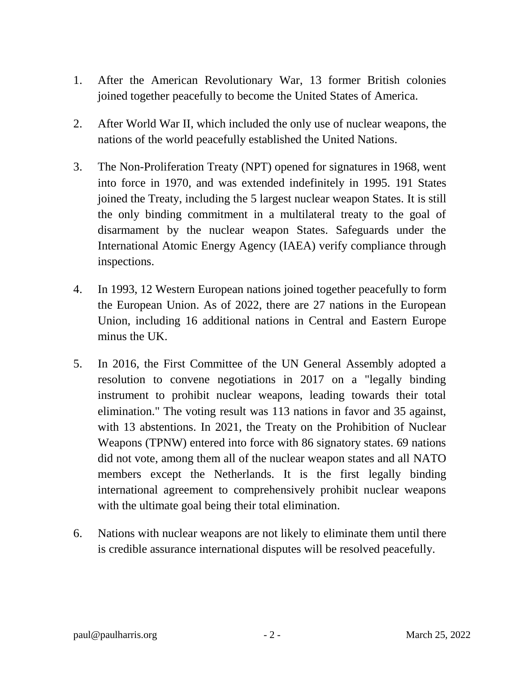- 1. After the American Revolutionary War, 13 former British colonies joined together peacefully to become the United States of America.
- 2. After World War II, which included the only use of nuclear weapons, the nations of the world peacefully established the United Nations.
- 3. The Non-Proliferation Treaty (NPT) opened for signatures in 1968, went into force in 1970, and was extended indefinitely in 1995. 191 States joined the Treaty, including the 5 largest nuclear weapon States. It is still the only binding commitment in a multilateral treaty to the goal of disarmament by the nuclear weapon States. Safeguards under the International Atomic Energy Agency (IAEA) verify compliance through inspections.
- 4. In 1993, 12 Western European nations joined together peacefully to form the European Union. As of 2022, there are 27 nations in the European Union, including 16 additional nations in Central and Eastern Europe minus the UK.
- 5. In 2016, the First Committee of the UN General Assembly adopted a resolution to convene negotiations in 2017 on a "legally binding instrument to prohibit nuclear weapons, leading towards their total elimination." The voting result was 113 nations in favor and 35 against, with 13 abstentions. In 2021, the Treaty on the Prohibition of Nuclear Weapons (TPNW) entered into force with 86 signatory states. 69 nations did not vote, among them all of the nuclear weapon states and all NATO members except the Netherlands. It is the first legally binding international agreement to comprehensively prohibit nuclear weapons with the ultimate goal being their total elimination.
- 6. Nations with nuclear weapons are not likely to eliminate them until there is credible assurance international disputes will be resolved peacefully.